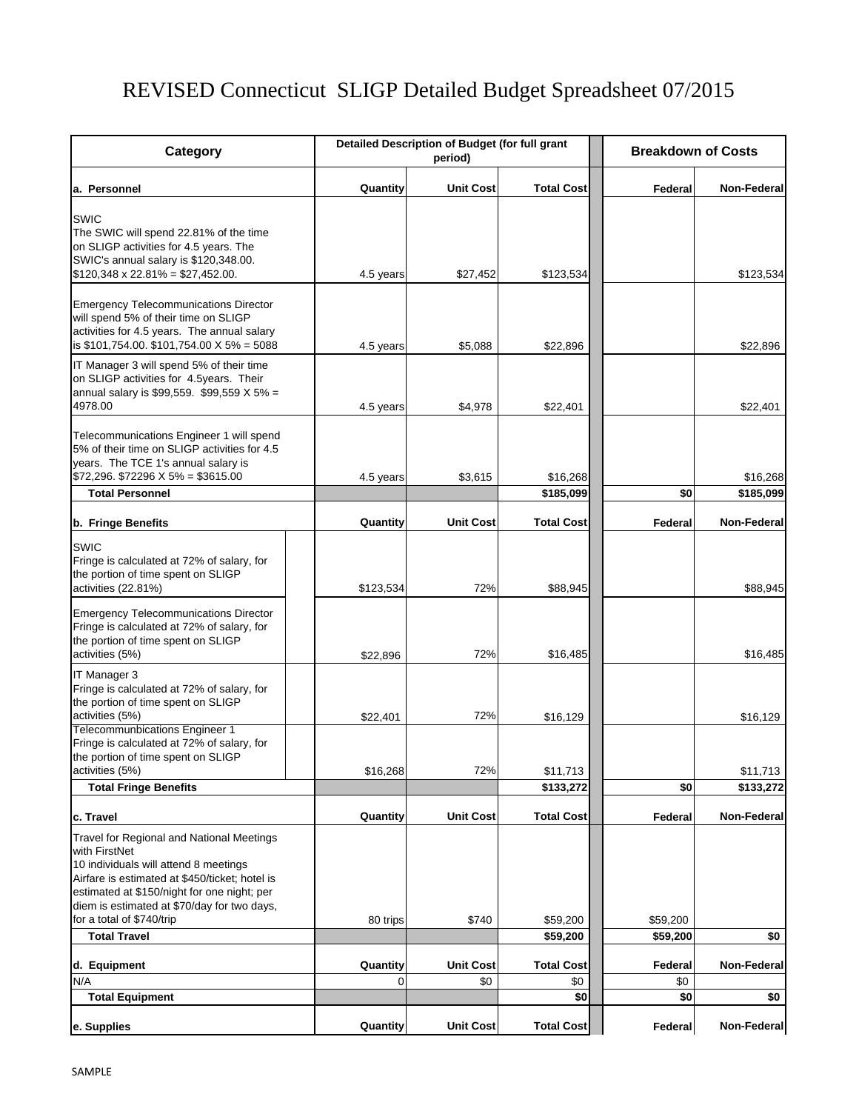# REVISED Connecticut SLIGP Detailed Budget Spreadsheet 07/2015

| Category                                                                                                                                                                                                                                                                         | Detailed Description of Budget (for full grant<br>period) |                         |                          | <b>Breakdown of Costs</b> |             |  |
|----------------------------------------------------------------------------------------------------------------------------------------------------------------------------------------------------------------------------------------------------------------------------------|-----------------------------------------------------------|-------------------------|--------------------------|---------------------------|-------------|--|
| a. Personnel                                                                                                                                                                                                                                                                     | Quantity                                                  | <b>Unit Cost</b>        | <b>Total Cost</b>        | Federal                   | Non-Federal |  |
| SWIC<br>The SWIC will spend 22.81% of the time<br>on SLIGP activities for 4.5 years. The<br>SWIC's annual salary is \$120,348.00.<br>$$120,348 \times 22.81\% = $27,452.00$                                                                                                      | 4.5 years                                                 | \$27,452                | \$123,534                |                           | \$123,534   |  |
| <b>Emergency Telecommunications Director</b><br>will spend 5% of their time on SLIGP<br>activities for 4.5 years. The annual salary<br>is $$101,754.00$ . $$101,754.00$ X $5\%$ = 5088                                                                                           | 4.5 years                                                 | \$5,088                 | \$22,896                 |                           | \$22,896    |  |
| IT Manager 3 will spend 5% of their time<br>on SLIGP activities for 4.5years. Their<br>annual salary is \$99,559. \$99,559 X 5% =<br>4978.00                                                                                                                                     | 4.5 years                                                 | \$4,978                 | \$22,401                 |                           | \$22,401    |  |
| Telecommunications Engineer 1 will spend<br>5% of their time on SLIGP activities for 4.5<br>years. The TCE 1's annual salary is<br>$$72,296. $72296 \times 5\% = $3615.00$                                                                                                       | 4.5 years                                                 | \$3,615                 | \$16,268                 |                           | \$16,268    |  |
| <b>Total Personnel</b>                                                                                                                                                                                                                                                           |                                                           |                         | \$185,099                | \$0                       | \$185,099   |  |
| b. Fringe Benefits                                                                                                                                                                                                                                                               | Quantity                                                  | <b>Unit Cost</b>        | <b>Total Cost</b>        | Federal                   | Non-Federal |  |
| <b>SWIC</b><br>Fringe is calculated at 72% of salary, for<br>the portion of time spent on SLIGP<br>activities (22.81%)                                                                                                                                                           | \$123,534                                                 | 72%                     | \$88,945                 |                           | \$88,945    |  |
| <b>Emergency Telecommunications Director</b><br>Fringe is calculated at 72% of salary, for<br>the portion of time spent on SLIGP<br>activities (5%)                                                                                                                              | \$22,896                                                  | 72%                     | \$16,485                 |                           | \$16,485    |  |
| IT Manager 3<br>Fringe is calculated at 72% of salary, for<br>the portion of time spent on SLIGP<br>activities (5%)<br><b>Telecommunbications Engineer 1</b>                                                                                                                     | \$22,401                                                  | 72%                     | \$16,129                 |                           | \$16,129    |  |
| Fringe is calculated at 72% of salary, for<br>the portion of time spent on SLIGP<br>activities (5%)                                                                                                                                                                              | \$16,268                                                  | 72%                     | \$11,713                 |                           | \$11,713    |  |
| <b>Total Fringe Benefits</b>                                                                                                                                                                                                                                                     |                                                           |                         | \$133,272                | \$0                       | \$133,272   |  |
| c. Travel                                                                                                                                                                                                                                                                        | Quantity                                                  | <b>Unit Cost</b>        | <b>Total Cost</b>        | Federal                   | Non-Federal |  |
| Travel for Regional and National Meetings<br>with FirstNet<br>10 individuals will attend 8 meetings<br>Airfare is estimated at \$450/ticket; hotel is<br>estimated at \$150/night for one night; per<br>diem is estimated at \$70/day for two days,<br>for a total of \$740/trip | 80 trips                                                  | \$740                   | \$59,200                 | \$59,200                  |             |  |
| <b>Total Travel</b>                                                                                                                                                                                                                                                              |                                                           |                         | \$59,200                 | \$59,200                  | \$0         |  |
| d. Equipment<br>N/A                                                                                                                                                                                                                                                              | Quantity<br>0                                             | <b>Unit Cost</b><br>\$0 | <b>Total Cost</b><br>\$0 | Federal<br>\$0            | Non-Federal |  |
| <b>Total Equipment</b>                                                                                                                                                                                                                                                           |                                                           |                         | \$0                      | \$0                       | \$0         |  |
| e. Supplies                                                                                                                                                                                                                                                                      | Quantity                                                  | <b>Unit Cost</b>        | <b>Total Cost</b>        | Federal                   | Non-Federal |  |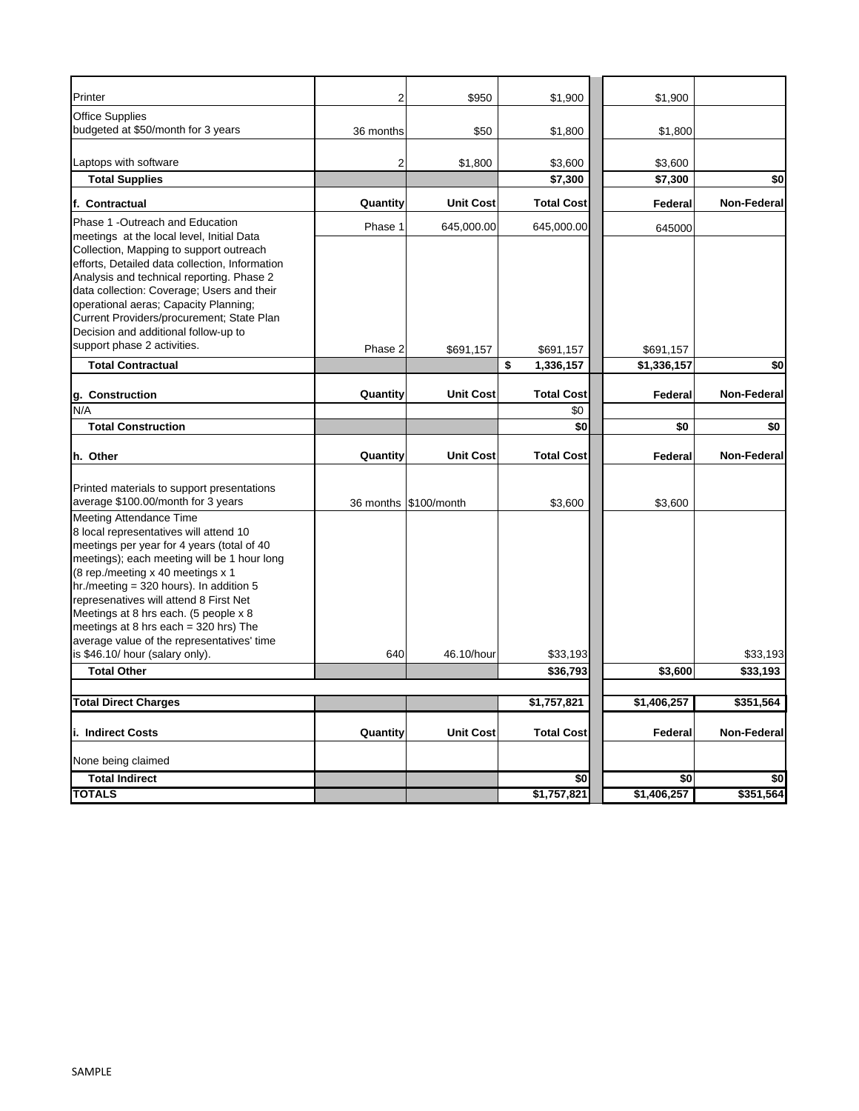| Printer                                                                                                                                                                                                                                                                                                                                                                                                                              | 2         | \$950                 | \$1,900              | \$1,900     |                    |
|--------------------------------------------------------------------------------------------------------------------------------------------------------------------------------------------------------------------------------------------------------------------------------------------------------------------------------------------------------------------------------------------------------------------------------------|-----------|-----------------------|----------------------|-------------|--------------------|
| <b>Office Supplies</b><br>budgeted at \$50/month for 3 years                                                                                                                                                                                                                                                                                                                                                                         | 36 months | \$50                  |                      |             |                    |
|                                                                                                                                                                                                                                                                                                                                                                                                                                      |           |                       | \$1,800              | \$1,800     |                    |
| Laptops with software                                                                                                                                                                                                                                                                                                                                                                                                                | 2         | \$1,800               | \$3,600              | \$3,600     |                    |
| <b>Total Supplies</b>                                                                                                                                                                                                                                                                                                                                                                                                                |           |                       | \$7,300              | \$7,300     | \$0                |
| f. Contractual                                                                                                                                                                                                                                                                                                                                                                                                                       | Quantity  | <b>Unit Cost</b>      | <b>Total Cost</b>    | Federal     | <b>Non-Federal</b> |
| Phase 1 -Outreach and Education<br>meetings at the local level, Initial Data<br>Collection, Mapping to support outreach<br>efforts, Detailed data collection, Information<br>Analysis and technical reporting. Phase 2<br>data collection: Coverage; Users and their<br>operational aeras; Capacity Planning;<br>Current Providers/procurement; State Plan<br>Decision and additional follow-up to                                   | Phase 1   | 645,000.00            | 645,000.00           | 645000      |                    |
| support phase 2 activities.                                                                                                                                                                                                                                                                                                                                                                                                          | Phase 2   | \$691,157             | \$691,157            | \$691,157   |                    |
| <b>Total Contractual</b>                                                                                                                                                                                                                                                                                                                                                                                                             |           |                       | \$<br>1,336,157      | \$1,336,157 | \$0                |
| g. Construction                                                                                                                                                                                                                                                                                                                                                                                                                      | Quantity  | <b>Unit Cost</b>      | <b>Total Cost</b>    | Federal     | Non-Federal        |
| N/A                                                                                                                                                                                                                                                                                                                                                                                                                                  |           |                       | \$0                  |             |                    |
| <b>Total Construction</b>                                                                                                                                                                                                                                                                                                                                                                                                            |           |                       | \$0                  | \$0         | \$0                |
| h. Other                                                                                                                                                                                                                                                                                                                                                                                                                             | Quantity  | <b>Unit Cost</b>      | <b>Total Cost</b>    | Federal     | Non-Federal        |
| Printed materials to support presentations<br>average \$100.00/month for 3 years                                                                                                                                                                                                                                                                                                                                                     |           | 36 months \$100/month | \$3,600              | \$3,600     |                    |
| <b>Meeting Attendance Time</b><br>8 local representatives will attend 10<br>meetings per year for 4 years (total of 40<br>meetings); each meeting will be 1 hour long<br>(8 rep./meeting x 40 meetings x 1)<br>hr./meeting = $320$ hours). In addition 5<br>represenatives will attend 8 First Net<br>Meetings at 8 hrs each. (5 people x 8<br>meetings at 8 hrs each = $320$ hrs) The<br>average value of the representatives' time |           |                       |                      |             |                    |
| is \$46.10/ hour (salary only).<br><b>Total Other</b>                                                                                                                                                                                                                                                                                                                                                                                | 640       | 46.10/hour            | \$33,193<br>\$36,793 | \$3,600     | \$33,193           |
|                                                                                                                                                                                                                                                                                                                                                                                                                                      |           |                       |                      |             | \$33,193           |
| <b>Total Direct Charges</b>                                                                                                                                                                                                                                                                                                                                                                                                          |           |                       | \$1,757,821          | \$1,406,257 | \$351,564          |
| li.  Indirect Costs                                                                                                                                                                                                                                                                                                                                                                                                                  | Quantity  | <b>Unit Cost</b>      | <b>Total Cost</b>    | Federal     | Non-Federal        |
| None being claimed                                                                                                                                                                                                                                                                                                                                                                                                                   |           |                       |                      |             |                    |
| <b>Total Indirect</b>                                                                                                                                                                                                                                                                                                                                                                                                                |           |                       | \$0                  | \$0         | \$0                |
| <b>TOTALS</b>                                                                                                                                                                                                                                                                                                                                                                                                                        |           |                       | \$1,757,821          | \$1,406,257 | \$351,564          |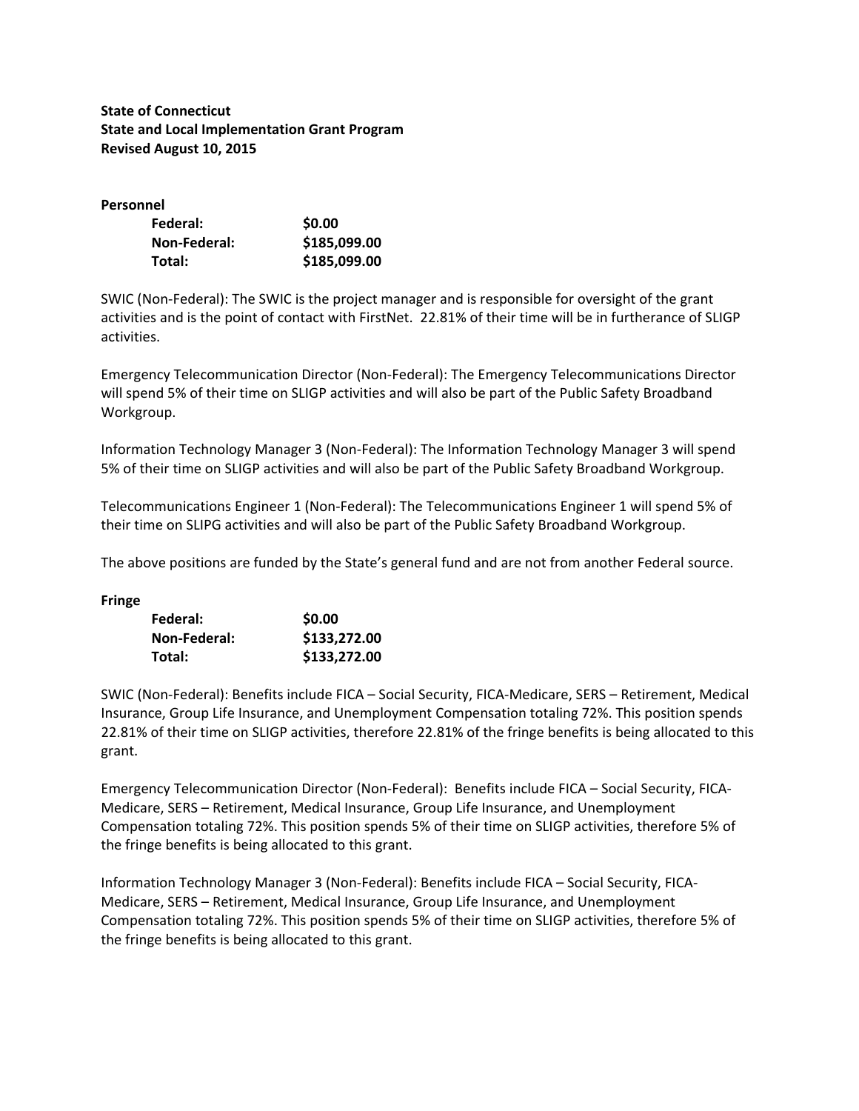**State of Connecticut State and Local Implementation Grant Program Revised August 10, 2015**

#### **Personnel**

| Federal:     | \$0.00       |
|--------------|--------------|
| Non-Federal: | \$185,099.00 |
| Total:       | \$185,099.00 |

SWIC (Non‐Federal): The SWIC is the project manager and is responsible for oversight of the grant activities and is the point of contact with FirstNet. 22.81% of their time will be in furtherance of SLIGP activities.

Emergency Telecommunication Director (Non‐Federal): The Emergency Telecommunications Director will spend 5% of their time on SLIGP activities and will also be part of the Public Safety Broadband Workgroup.

Information Technology Manager 3 (Non‐Federal): The Information Technology Manager 3 will spend 5% of their time on SLIGP activities and will also be part of the Public Safety Broadband Workgroup.

Telecommunications Engineer 1 (Non‐Federal): The Telecommunications Engineer 1 will spend 5% of their time on SLIPG activities and will also be part of the Public Safety Broadband Workgroup.

The above positions are funded by the State's general fund and are not from another Federal source.

**Fringe**

| Federal:     | \$0.00       |
|--------------|--------------|
| Non-Federal: | \$133,272.00 |
| Total:       | \$133,272.00 |

SWIC (Non‐Federal): Benefits include FICA – Social Security, FICA‐Medicare, SERS – Retirement, Medical Insurance, Group Life Insurance, and Unemployment Compensation totaling 72%. This position spends 22.81% of their time on SLIGP activities, therefore 22.81% of the fringe benefits is being allocated to this grant.

Emergency Telecommunication Director (Non-Federal): Benefits include FICA – Social Security, FICA-Medicare, SERS – Retirement, Medical Insurance, Group Life Insurance, and Unemployment Compensation totaling 72%. This position spends 5% of their time on SLIGP activities, therefore 5% of the fringe benefits is being allocated to this grant.

Information Technology Manager 3 (Non‐Federal): Benefits include FICA – Social Security, FICA‐ Medicare, SERS – Retirement, Medical Insurance, Group Life Insurance, and Unemployment Compensation totaling 72%. This position spends 5% of their time on SLIGP activities, therefore 5% of the fringe benefits is being allocated to this grant.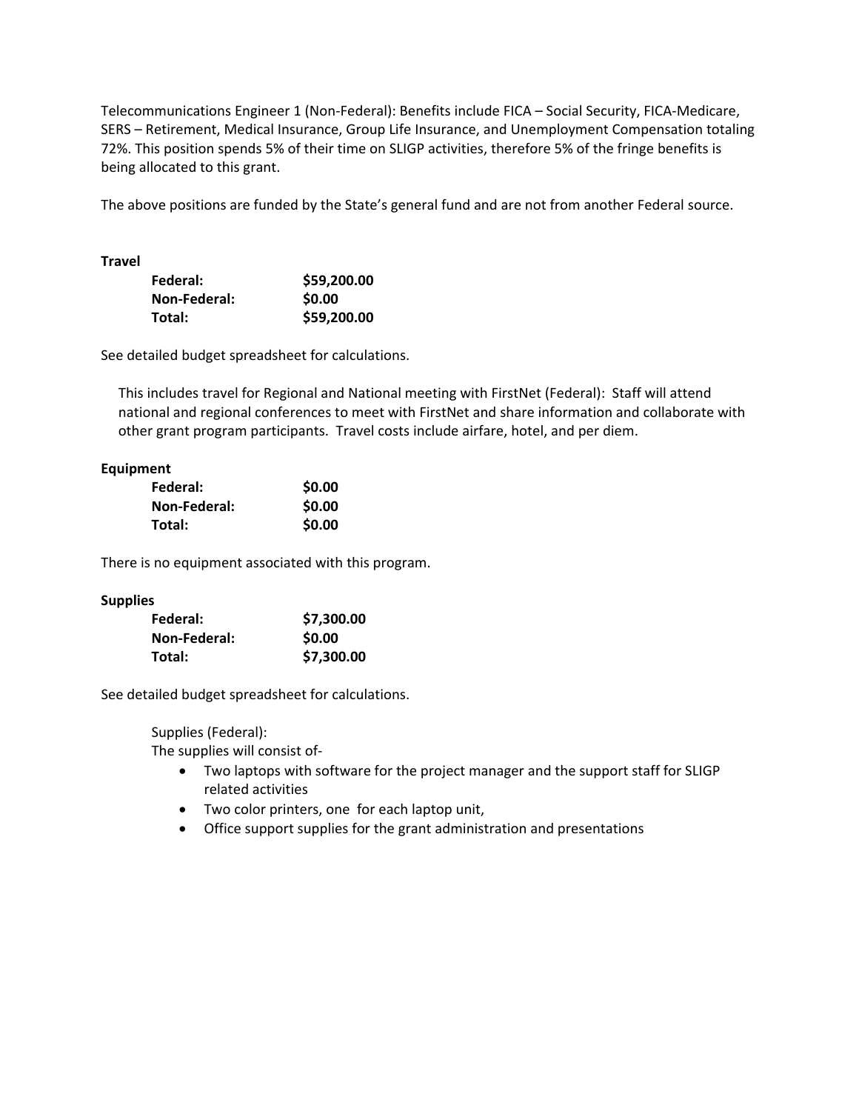Telecommunications Engineer 1 (Non‐Federal): Benefits include FICA – Social Security, FICA‐Medicare, SERS – Retirement, Medical Insurance, Group Life Insurance, and Unemployment Compensation totaling 72%. This position spends 5% of their time on SLIGP activities, therefore 5% of the fringe benefits is being allocated to this grant.

The above positions are funded by the State's general fund and are not from another Federal source.

**Travel**

| Federal:     | \$59,200.00 |
|--------------|-------------|
| Non-Federal: | \$0.00      |
| Total:       | \$59,200.00 |

See detailed budget spreadsheet for calculations.

 This includes travel for Regional and National meeting with FirstNet (Federal): Staff will attend national and regional conferences to meet with FirstNet and share information and collaborate with other grant program participants. Travel costs include airfare, hotel, and per diem.

#### **Equipment**

| Federal:     | \$0.00 |
|--------------|--------|
| Non-Federal: | \$0.00 |
| Total:       | \$0.00 |

There is no equipment associated with this program.

#### **Supplies**

| Federal:     | \$7,300.00 |
|--------------|------------|
| Non-Federal: | \$0.00     |
| Total:       | \$7,300.00 |

See detailed budget spreadsheet for calculations.

Supplies (Federal):

The supplies will consist of‐

- Two laptops with software for the project manager and the support staff for SLIGP related activities
- Two color printers, one for each laptop unit,
- Office support supplies for the grant administration and presentations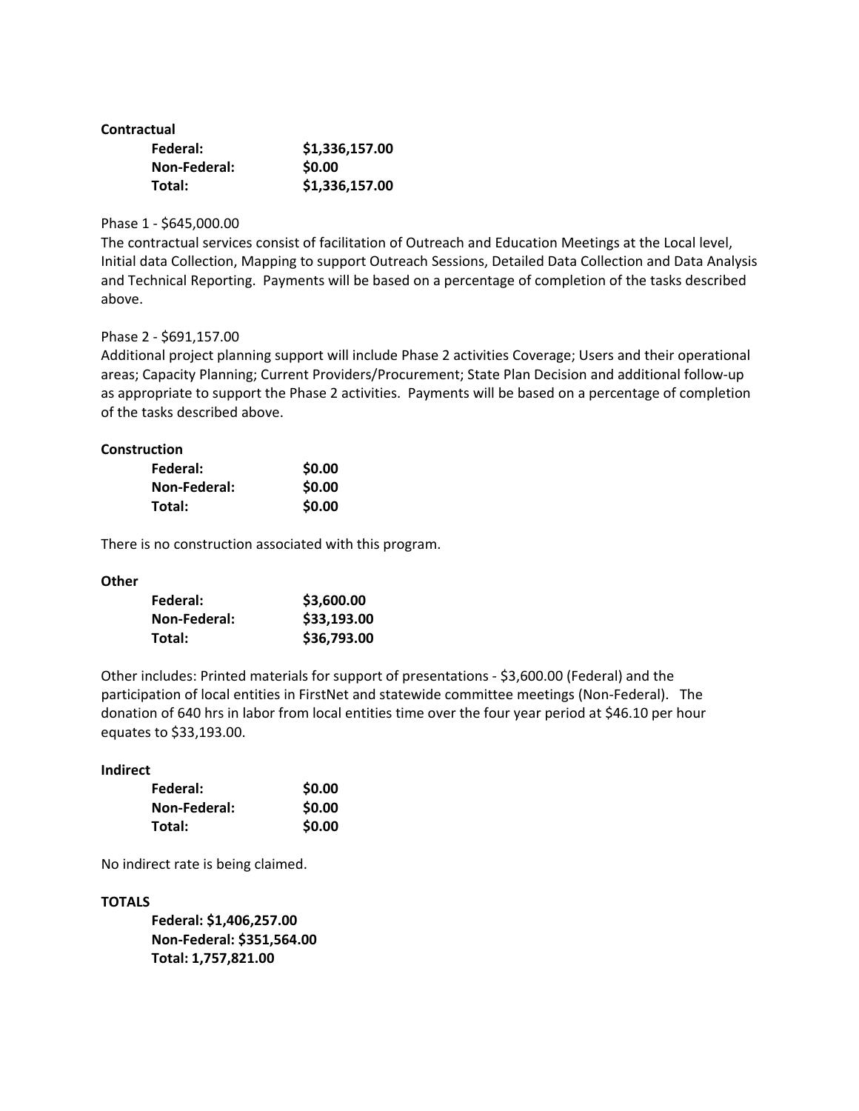## **Contractual**

| Federal:     | \$1,336,157.00 |
|--------------|----------------|
| Non-Federal: | \$0.00         |
| Total:       | \$1,336,157.00 |

## Phase 1 ‐ \$645,000.00

The contractual services consist of facilitation of Outreach and Education Meetings at the Local level, Initial data Collection, Mapping to support Outreach Sessions, Detailed Data Collection and Data Analysis and Technical Reporting. Payments will be based on a percentage of completion of the tasks described above.

## Phase 2 ‐ \$691,157.00

Additional project planning support will include Phase 2 activities Coverage; Users and their operational areas; Capacity Planning; Current Providers/Procurement; State Plan Decision and additional follow‐up as appropriate to support the Phase 2 activities. Payments will be based on a percentage of completion of the tasks described above.

## **Construction**

| Federal:     | \$0.00 |
|--------------|--------|
| Non-Federal: | \$0.00 |
| Total:       | \$0.00 |

There is no construction associated with this program.

#### **Other**

| Federal:     | \$3,600.00  |
|--------------|-------------|
| Non-Federal: | \$33,193.00 |
| Total:       | \$36,793.00 |

Other includes: Printed materials for support of presentations ‐ \$3,600.00 (Federal) and the participation of local entities in FirstNet and statewide committee meetings (Non-Federal). The donation of 640 hrs in labor from local entities time over the four year period at \$46.10 per hour equates to \$33,193.00.

#### **Indirect**

| Federal:     | \$0.00 |
|--------------|--------|
| Non-Federal: | \$0.00 |
| Total:       | \$0.00 |

No indirect rate is being claimed.

# **TOTALS**

**Federal: \$1,406,257.00 Non‐Federal: \$351,564.00 Total: 1,757,821.00**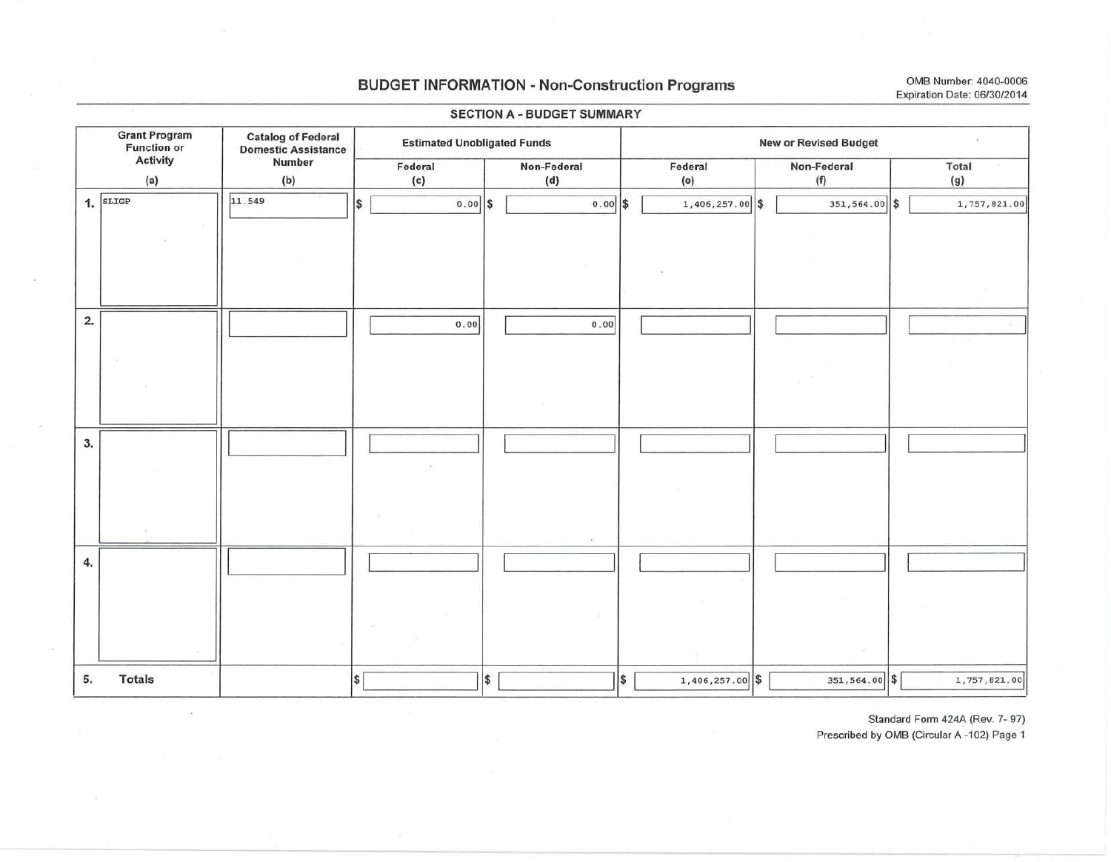# BUDGET INFORMATION - Non-Construction Programs OMB Number: 4040-0006

Grant Program Function or Activity (a) 1. SLIGP 2. 3. 4. 5. Totals Catalog of Federal Estimated Unobligated Funds<br>
Number **Enderal** Federal Non-Federal<br>
(c) (d) (b) (c) (d) Ill. 549 I \$ I o. ool \$ I o.ool \$ <sup>I</sup> I I I o. ool I o.ool <sup>I</sup> I I I I I I I  $\begin{array}{|c|c|c|c|c|c|}\hline \text{I} & \text{I} & \text{I} & \text{I} & \text{I} & \text{I} \ \hline \end{array}$  $\frac{1}{3}$   $\frac{1}{3}$   $\frac{1}{3}$ New or Revised Budget Federal (e)  $1,406,257.00$  \$ I I I I I  $1,406,257.00$  \$ Non-Federal Total<br>
(f) (g)  $(g)$ 351,564.00 \$ 1,757,821.00 I I I I I 351, 564. 00 \$ 1, 757, 821. 00 i

#### SECTION A - BUDGET SUMMARY

Standard Form 424A (Rev. 7- 97)

Prescribed by OMB (Circular A-102) Page 1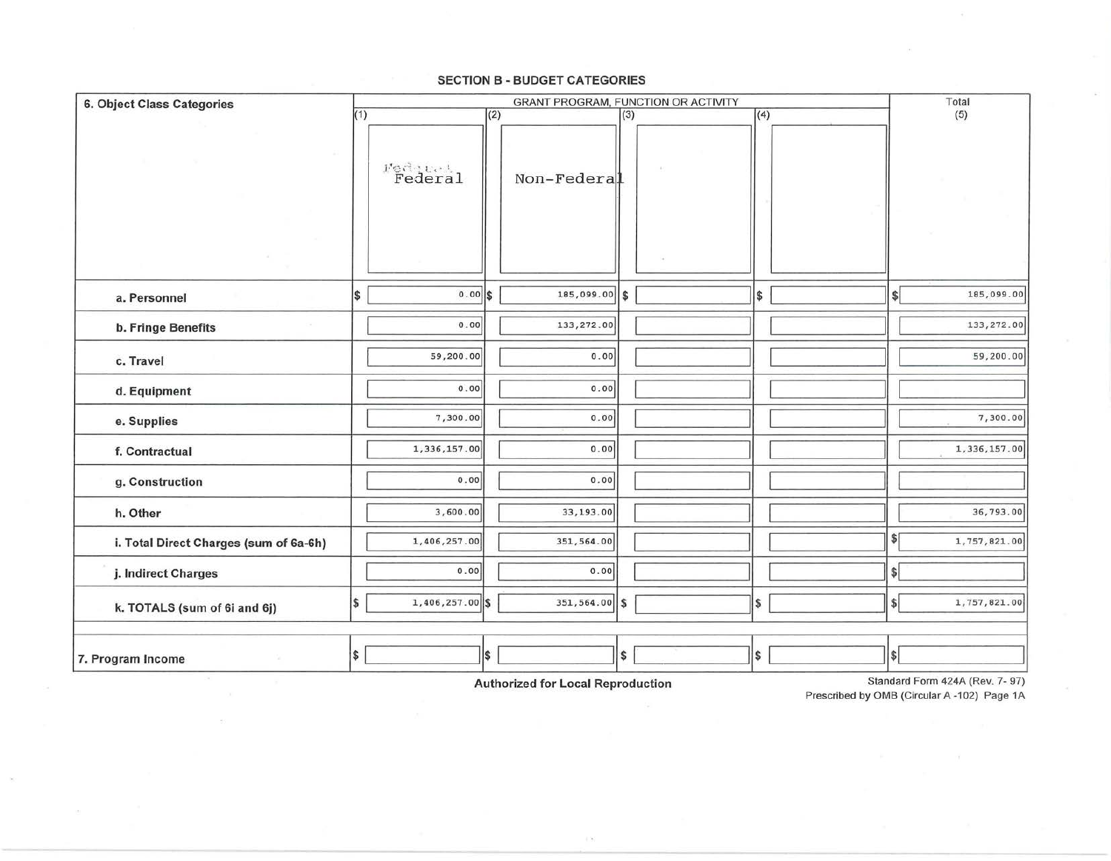| 6. Object Class Categories             | GRANT PROGRAM, FUNCTION OR ACTIVITY |                   |     |               |     |  |     | Total         |              |
|----------------------------------------|-------------------------------------|-------------------|-----|---------------|-----|--|-----|---------------|--------------|
|                                        | (1)                                 |                   | (2) |               | (3) |  | (4) |               | (5)          |
|                                        |                                     | Federal           |     | Non-Federal   |     |  |     |               |              |
| a. Personnel                           | \$                                  | $0.00$ \$         |     | 185,099.00    | \$  |  | \$  | s             | 185,099.00   |
| b. Fringe Benefits                     |                                     | 0.00              |     | 133,272.00    |     |  |     |               | 133,272.00   |
| c. Travel                              |                                     | 59,200.00         |     | 0.00          |     |  |     |               | 59,200.00    |
| d. Equipment                           |                                     | 0.00              |     | 0.00          |     |  |     |               |              |
| e. Supplies                            |                                     | 7,300.00          |     | 0.00          |     |  |     |               | 7,300.00     |
| f. Contractual                         |                                     | 1,336,157.00      |     | 0.00          |     |  |     |               | 1,336,157.00 |
| g. Construction                        |                                     | 0.00              |     | 0.00          |     |  |     |               |              |
| h. Other                               |                                     | 3,600.00          |     | 33,193.00     |     |  |     |               | 36,793.00    |
| i. Total Direct Charges (sum of 6a-6h) |                                     | 1,406,257.00      |     | 351,564.00    |     |  |     | s             | 1,757,821.00 |
| j. Indirect Charges                    |                                     | 0.00              |     | 0.00          |     |  |     | $\frac{1}{2}$ |              |
| k. TOTALS (sum of 6i and 6j)           | S,                                  | $1,406,257.00$ \$ |     | 351,564.00 \$ |     |  | \$  | $\frac{1}{2}$ | 1,757,821.00 |
|                                        |                                     |                   |     |               |     |  |     |               |              |
| 7. Program Income                      | S.                                  |                   | I\$ |               | \$  |  | \$  | $ \$ $        |              |

#### **SECTION B - BUDGET CATEGORIES**

**Authorized for Local Reproduction** 

 $\pm 82$ 

 $\overline{5}$ 

 $\infty$ 

Standard Form 424A (Rev. 7-97) Prescribed by OMB (Circular A-102) Page 1A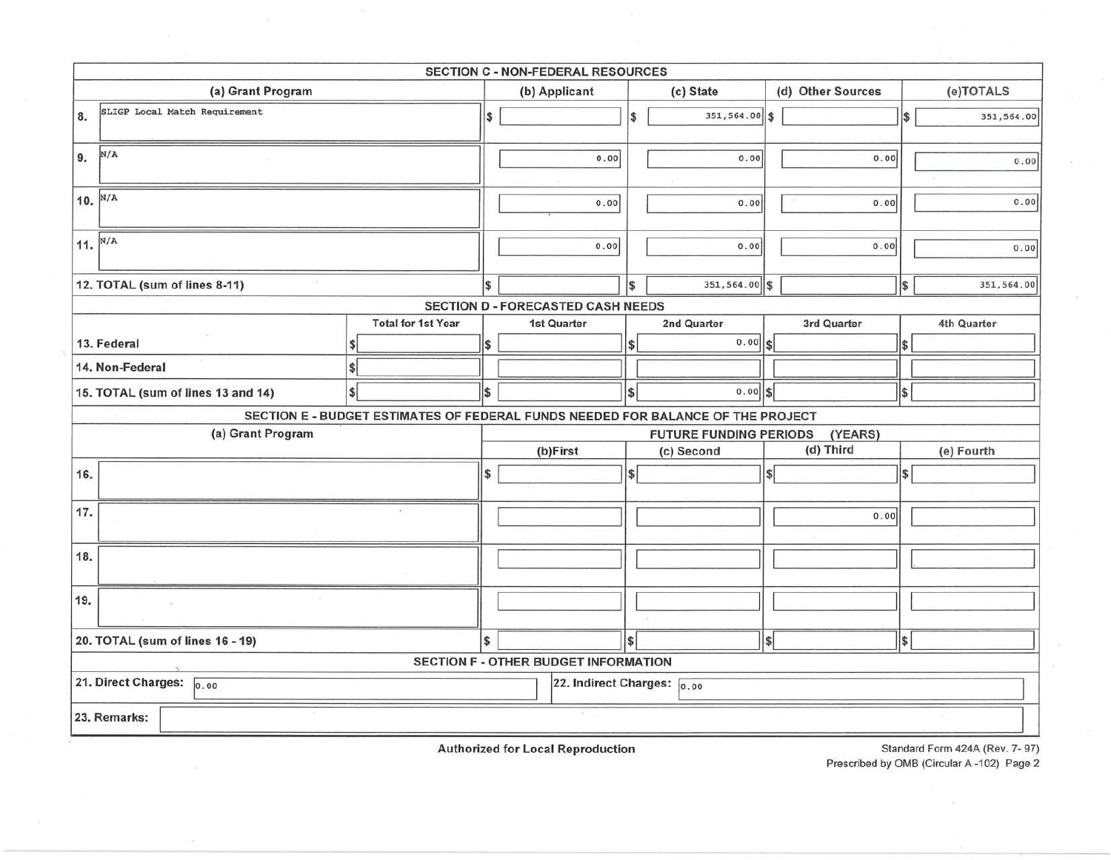|                                                             |                                    |                                                                                 |                                          | SECTION C - NON-FEDERAL RESOURCES           |                |                   |             |          |               |                                |  |  |
|-------------------------------------------------------------|------------------------------------|---------------------------------------------------------------------------------|------------------------------------------|---------------------------------------------|----------------|-------------------|-------------|----------|---------------|--------------------------------|--|--|
|                                                             | (a) Grant Program                  | (b) Applicant                                                                   |                                          |                                             | (c) State      | (d) Other Sources |             |          | (e)TOTALS     |                                |  |  |
| 8.                                                          | SLIGP Local Match Requirement      | I\$                                                                             |                                          |                                             | 351, 564.00 \$ |                   |             | \$       | 351,564.00    |                                |  |  |
| N/A<br>9.                                                   |                                    |                                                                                 |                                          | 0.00                                        |                | 0.00              |             | 0.00     |               | 0.00                           |  |  |
| 10. $N/A$                                                   |                                    |                                                                                 | 0.00                                     |                                             | 0.00           |                   | 0.00        |          | 0.00          |                                |  |  |
| 11. $N/A$                                                   |                                    |                                                                                 | 0.00                                     |                                             | 0.00           |                   | 0.00        |          | 0.00          |                                |  |  |
|                                                             | 12. TOTAL (sum of lines 8-11)      |                                                                                 |                                          | \$                                          | 351,564.00 \$  |                   |             | l\$      | 351,564.00    |                                |  |  |
|                                                             |                                    |                                                                                 |                                          | <b>SECTION D - FORECASTED CASH NEEDS</b>    |                |                   |             |          |               |                                |  |  |
|                                                             |                                    | <b>Total for 1st Year</b>                                                       | 1st Quarter                              |                                             |                | 2nd Quarter       | 3rd Quarter |          |               | 4th Quarter                    |  |  |
|                                                             | 13. Federal                        |                                                                                 | \$                                       |                                             | S              | 0.00              | <b>S</b>    |          |               |                                |  |  |
|                                                             | 14. Non-Federal                    |                                                                                 |                                          |                                             |                |                   |             |          |               |                                |  |  |
|                                                             | 15. TOTAL (sum of lines 13 and 14) |                                                                                 | l\$                                      |                                             | \$             | $0.00$ \$         |             |          | S,            |                                |  |  |
|                                                             |                                    | SECTION E - BUDGET ESTIMATES OF FEDERAL FUNDS NEEDED FOR BALANCE OF THE PROJECT |                                          |                                             |                |                   |             |          |               |                                |  |  |
|                                                             | (a) Grant Program                  |                                                                                 | (YEARS)<br><b>FUTURE FUNDING PERIODS</b> |                                             |                |                   |             |          |               |                                |  |  |
|                                                             |                                    |                                                                                 | (b)First                                 |                                             |                | (c) Second        | (d) Third   |          |               | (e) Fourth                     |  |  |
| 16.                                                         |                                    | \$                                                                              |                                          | $\overline{\mathbf{s}}$                     |                | $\mathsf{s}$      |             | <b>s</b> |               |                                |  |  |
| 17.                                                         |                                    |                                                                                 |                                          |                                             |                |                   |             | 0.00     |               |                                |  |  |
| 18.                                                         |                                    |                                                                                 |                                          |                                             |                |                   |             |          |               |                                |  |  |
| 19.                                                         |                                    |                                                                                 |                                          |                                             |                |                   |             |          |               |                                |  |  |
| 20. TOTAL (sum of lines 16 - 19)                            |                                    |                                                                                 |                                          |                                             | <sup>\$</sup>  |                   | \$          |          | <sup>\$</sup> |                                |  |  |
|                                                             |                                    |                                                                                 |                                          | <b>SECTION F - OTHER BUDGET INFORMATION</b> |                |                   |             |          |               |                                |  |  |
| 21. Direct Charges: 0.00<br>22. Indirect Charges: $_{0.00}$ |                                    |                                                                                 |                                          |                                             |                |                   |             |          |               |                                |  |  |
|                                                             | 23. Remarks:                       |                                                                                 |                                          |                                             |                |                   |             |          |               |                                |  |  |
|                                                             |                                    |                                                                                 |                                          | Authorized for Local Depreduction           |                |                   |             |          |               | Standard Form 424A (Doy 7, 07) |  |  |

Authorized for Local Reproduction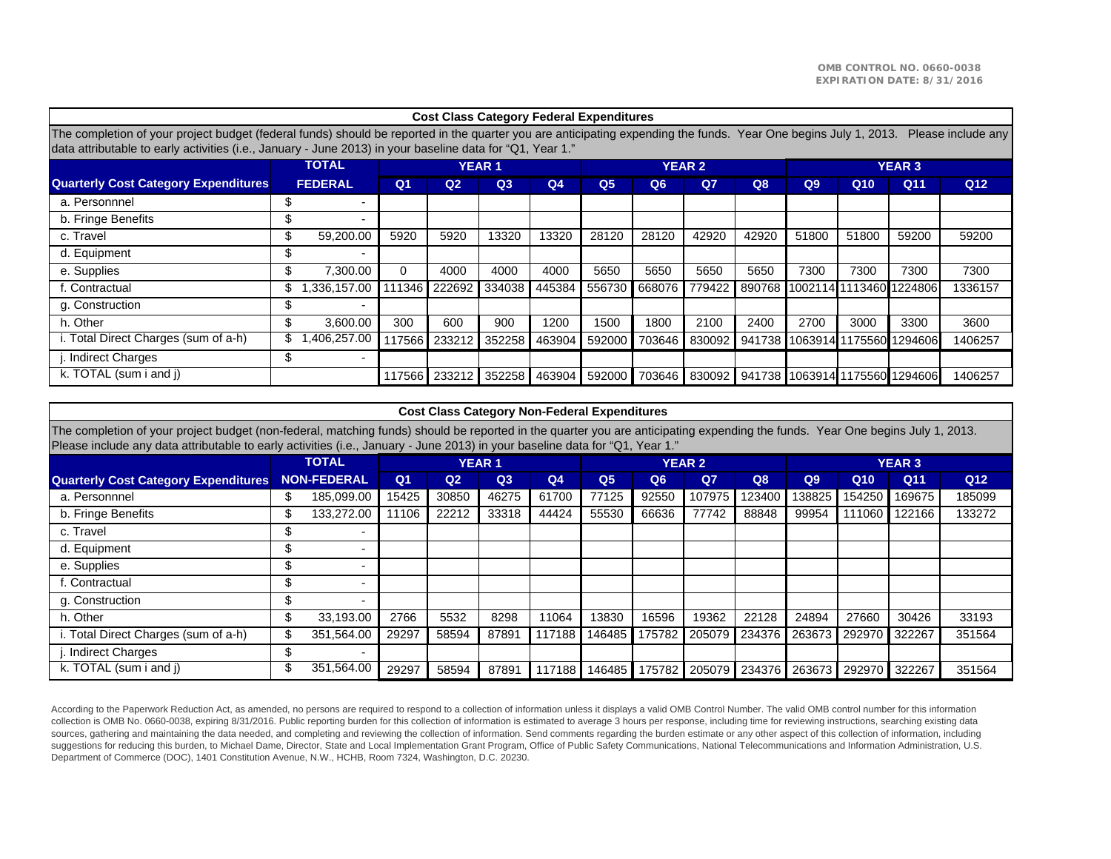| <b>Cost Class Category Federal Expenditures</b>                                                                                                                                                                                                                                                    |    |                          |                |                |        |                |                |                |                |        |       |                 |                                |                 |
|----------------------------------------------------------------------------------------------------------------------------------------------------------------------------------------------------------------------------------------------------------------------------------------------------|----|--------------------------|----------------|----------------|--------|----------------|----------------|----------------|----------------|--------|-------|-----------------|--------------------------------|-----------------|
| The completion of your project budget (federal funds) should be reported in the quarter you are anticipating expending the funds. Year One begins July 1, 2013.<br>Please include any<br>data attributable to early activities (i.e., January - June 2013) in your baseline data for "Q1, Year 1." |    |                          |                |                |        |                |                |                |                |        |       |                 |                                |                 |
|                                                                                                                                                                                                                                                                                                    |    | <b>TOTAL</b>             |                | <b>YEAR 1</b>  |        |                | <b>YEAR 2</b>  |                | <b>YEAR 3</b>  |        |       |                 |                                |                 |
| <b>Quarterly Cost Category Expenditures</b>                                                                                                                                                                                                                                                        |    | <b>FEDERAL</b>           | Q <sub>1</sub> | Q <sub>2</sub> | Q3     | Q <sub>4</sub> | Q <sub>5</sub> | Q <sub>6</sub> | Q <sub>7</sub> | Q8     | Q9    | Q <sub>10</sub> | Q11                            | Q <sub>12</sub> |
| a. Personnnel                                                                                                                                                                                                                                                                                      | ж  |                          |                |                |        |                |                |                |                |        |       |                 |                                |                 |
| b. Fringe Benefits                                                                                                                                                                                                                                                                                 | ъ  | $\overline{\phantom{0}}$ |                |                |        |                |                |                |                |        |       |                 |                                |                 |
| c. Travel                                                                                                                                                                                                                                                                                          | \$ | 59.200.00                | 5920           | 5920           | 13320  | 13320          | 28120          | 28120          | 42920          | 42920  | 51800 | 51800           | 59200                          | 59200           |
| d. Equipment                                                                                                                                                                                                                                                                                       | ъ  |                          |                |                |        |                |                |                |                |        |       |                 |                                |                 |
| e. Supplies                                                                                                                                                                                                                                                                                        | \$ | 7,300.00                 | 0              | 4000           | 4000   | 4000           | 5650           | 5650           | 5650           | 5650   | 7300  | 7300            | 7300                           | 7300            |
| f. Contractual                                                                                                                                                                                                                                                                                     | S  | .336,157.00              | 11346          | 222692         | 334038 | 445384         | 556730         | 668076         | 779422         |        |       |                 | 890768 1002114 1113460 1224806 | 1336157         |
| g. Construction                                                                                                                                                                                                                                                                                    | J. |                          |                |                |        |                |                |                |                |        |       |                 |                                |                 |
| h. Other                                                                                                                                                                                                                                                                                           | \$ | 3.600.00                 | 300            | 600            | 900    | 1200           | 1500           | 1800           | 2100           | 2400   | 2700  | 3000            | 3300                           | 3600            |
| i. Total Direct Charges (sum of a-h)                                                                                                                                                                                                                                                               |    | .406.257.00              | 17566          | 233212         | 352258 | 463904         | 592000         | 703646         | 830092         |        |       |                 | 941738 1063914 1175560 1294606 | 1406257         |
| j. Indirect Charges                                                                                                                                                                                                                                                                                | \$ |                          |                |                |        |                |                |                |                |        |       |                 |                                |                 |
| k. TOTAL (sum i and i)                                                                                                                                                                                                                                                                             |    |                          | 17566          | 233212         | 352258 | 463904         | 592000         | 703646         | 830092         | 941738 |       |                 | 1063914 1175560 1294606        | 1406257         |

| <b>Cost Class Category Non-Federal Expenditures</b>                                                                                                                                                                                                                                                           |                    |                          |       |       |               |                |                |                |               |        |               |                 |        |                 |  |  |
|---------------------------------------------------------------------------------------------------------------------------------------------------------------------------------------------------------------------------------------------------------------------------------------------------------------|--------------------|--------------------------|-------|-------|---------------|----------------|----------------|----------------|---------------|--------|---------------|-----------------|--------|-----------------|--|--|
| The completion of your project budget (non-federal, matching funds) should be reported in the quarter you are anticipating expending the funds. Year One begins July 1, 2013.<br>Please include any data attributable to early activities (i.e., January - June 2013) in your baseline data for "Q1, Year 1." |                    |                          |       |       |               |                |                |                |               |        |               |                 |        |                 |  |  |
|                                                                                                                                                                                                                                                                                                               |                    | <b>TOTAL</b>             |       |       | <b>YEAR 1</b> |                |                |                | <b>YEAR 2</b> |        | <b>YEAR 3</b> |                 |        |                 |  |  |
| <b>Quarterly Cost Category Expenditures</b>                                                                                                                                                                                                                                                                   | <b>NON-FEDERAL</b> |                          |       |       |               | Q <sub>4</sub> | Q <sub>5</sub> | Q <sub>6</sub> | $Q$ 7         | Q8     | Q9            | Q <sub>10</sub> | Q11    | Q <sub>12</sub> |  |  |
| a. Personnnel                                                                                                                                                                                                                                                                                                 | \$                 | 185,099.00               | 15425 | 30850 | 46275         | 61700          | 77125          | 92550          | 107975        | 123400 | 138825        | 154250          | 169675 | 185099          |  |  |
| b. Fringe Benefits                                                                                                                                                                                                                                                                                            | ъ                  | 133.272.00               | 1106  | 22212 | 33318         | 44424          | 55530          | 66636          | 77742         | 88848  | 99954         | 111060          | 122166 | 133272          |  |  |
| c. Travel                                                                                                                                                                                                                                                                                                     | Ъ                  | $\overline{\phantom{0}}$ |       |       |               |                |                |                |               |        |               |                 |        |                 |  |  |
| d. Equipment                                                                                                                                                                                                                                                                                                  | \$                 |                          |       |       |               |                |                |                |               |        |               |                 |        |                 |  |  |
| e. Supplies                                                                                                                                                                                                                                                                                                   | ሖ<br>J.            |                          |       |       |               |                |                |                |               |        |               |                 |        |                 |  |  |
| f. Contractual                                                                                                                                                                                                                                                                                                | ₼<br>Æ,            |                          |       |       |               |                |                |                |               |        |               |                 |        |                 |  |  |
| g. Construction                                                                                                                                                                                                                                                                                               | Ж,                 | $\overline{\phantom{0}}$ |       |       |               |                |                |                |               |        |               |                 |        |                 |  |  |
| h. Other                                                                                                                                                                                                                                                                                                      | \$                 | 33,193.00                | 2766  | 5532  | 8298          | 11064          | 13830          | 16596          | 19362         | 22128  | 24894         | 27660           | 30426  | 33193           |  |  |
| i. Total Direct Charges (sum of a-h)                                                                                                                                                                                                                                                                          | \$                 | 351,564.00               | 29297 | 58594 | 87891         | 117188         | 146485         | 175782         | 205079        | 234376 | 263673        | 292970          | 322267 | 351564          |  |  |
| . Indirect Charges                                                                                                                                                                                                                                                                                            | \$.                | $\overline{\phantom{0}}$ |       |       |               |                |                |                |               |        |               |                 |        |                 |  |  |
| k. TOTAL (sum i and j)                                                                                                                                                                                                                                                                                        |                    | 351,564.00               | 29297 | 58594 | 87891         | 117188         | 146485         | 175782         | 205079        | 234376 | 263673        | 292970          | 322267 | 351564          |  |  |

According to the Paperwork Reduction Act, as amended, no persons are required to respond to a collection of information unless it displays a valid OMB Control Number. The valid OMB control number for this information collection is OMB No. 0660-0038, expiring 8/31/2016. Public reporting burden for this collection of information is estimated to average 3 hours per response, including time for reviewing instructions, searching existing data sources, gathering and maintaining the data needed, and completing and reviewing the collection of information. Send comments regarding the burden estimate or any other aspect of this collection of information, including suggestions for reducing this burden, to Michael Dame, Director, State and Local Implementation Grant Program, Office of Public Safety Communications, National Telecommunications and Information Administration, U.S. Department of Commerce (DOC), 1401 Constitution Avenue, N.W., HCHB, Room 7324, Washington, D.C. 20230.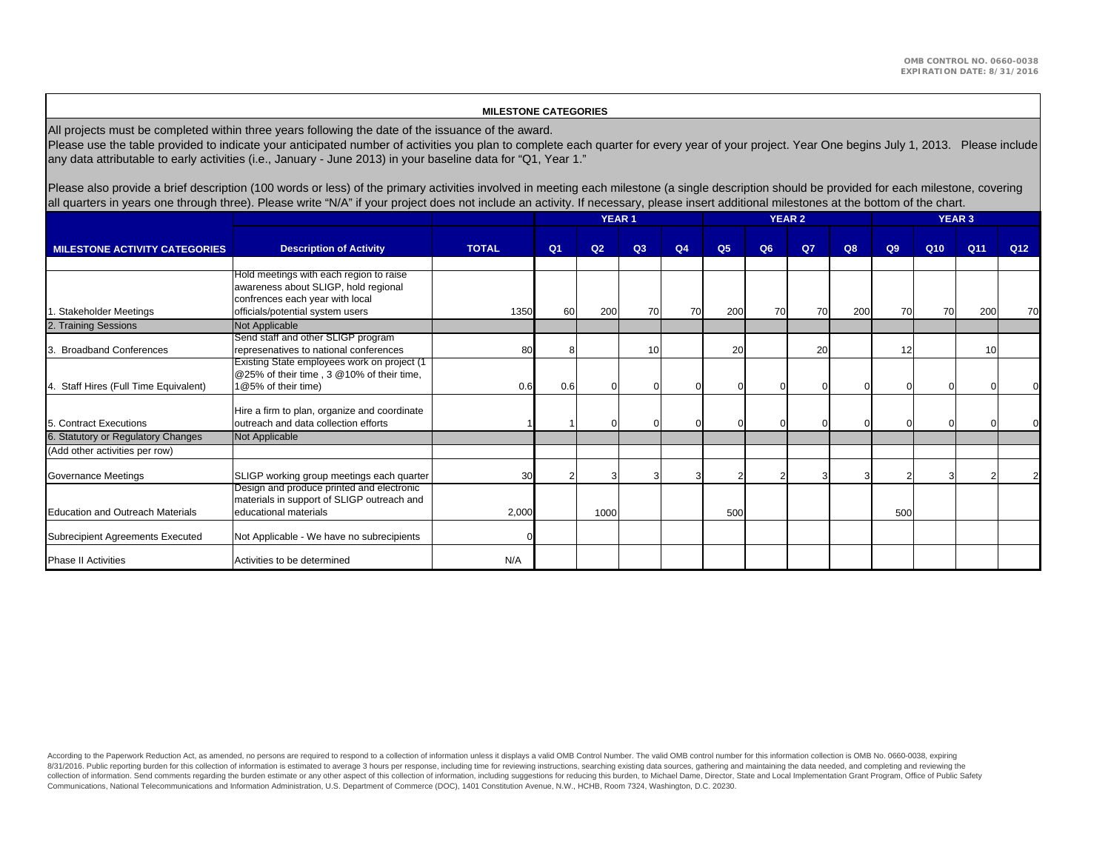#### **MILESTONE CATEGORIES**

All projects must be completed within three years following the date of the issuance of the award.

Please use the table provided to indicate your anticipated number of activities you plan to complete each quarter for every year of your project. Year One begins July 1, 2013. Please include any data attributable to early activities (i.e., January - June 2013) in your baseline data for "Q1, Year 1."

Please also provide a brief description (100 words or less) of the primary activities involved in meeting each milestone (a single description should be provided for each milestone, covering all quarters in years one through three). Please write "N/A" if your project does not include an activity. If necessary, please insert additional milestones at the bottom of the chart.

|                                       |                                                                                                                                                        |              |                |                | <b>YEAR 1</b> |                |                |    | <b>YEAR 2</b> |     | <b>YEAR 3</b> |                 |     |                 |  |
|---------------------------------------|--------------------------------------------------------------------------------------------------------------------------------------------------------|--------------|----------------|----------------|---------------|----------------|----------------|----|---------------|-----|---------------|-----------------|-----|-----------------|--|
| <b>MILESTONE ACTIVITY CATEGORIES</b>  | <b>Description of Activity</b>                                                                                                                         | <b>TOTAL</b> | Q <sub>1</sub> | Q <sub>2</sub> | Q3            | Q <sub>4</sub> | Q <sub>5</sub> | Q6 | Q7            | Q8  | Q9            | Q <sub>10</sub> | Q11 | Q <sub>12</sub> |  |
| Stakeholder Meetings                  | Hold meetings with each region to raise<br>awareness about SLIGP, hold regional<br>confrences each year with local<br>officials/potential system users | 1350         | 60             | 200            | 70            | 70             | 200            | 70 | 70            | 200 | 70            | <b>70</b>       | 200 | 70              |  |
| 2. Training Sessions                  | Not Applicable                                                                                                                                         |              |                |                |               |                |                |    |               |     |               |                 |     |                 |  |
| <b>Broadband Conferences</b>          | Send staff and other SLIGP program<br>represenatives to national conferences                                                                           | 80           | я              |                | 10            |                | 20             |    | 20            |     | 12            |                 | 10  |                 |  |
| 4. Staff Hires (Full Time Equivalent) | Existing State employees work on project (1<br>@25% of their time, 3 @10% of their time,<br>1@5% of their time)                                        | 0.6          | 0.6            | $\Omega$       |               |                |                |    | $\mathbf{0}$  |     |               |                 |     |                 |  |
| 5. Contract Executions                | Hire a firm to plan, organize and coordinate<br>outreach and data collection efforts                                                                   |              |                |                |               |                |                |    | $\Omega$      |     |               |                 |     |                 |  |
| 6. Statutory or Regulatory Changes    | Not Applicable                                                                                                                                         |              |                |                |               |                |                |    |               |     |               |                 |     |                 |  |
| (Add other activities per row)        |                                                                                                                                                        |              |                |                |               |                |                |    |               |     |               |                 |     |                 |  |
| Governance Meetings                   | SLIGP working group meetings each quarter                                                                                                              | 30           |                |                |               |                |                |    |               |     |               |                 |     |                 |  |
| Education and Outreach Materials      | Design and produce printed and electronic<br>materials in support of SLIGP outreach and<br>educational materials                                       | 2,000        |                | 1000           |               |                | 500            |    |               |     | 500           |                 |     |                 |  |
| Subrecipient Agreements Executed      | Not Applicable - We have no subrecipients                                                                                                              |              |                |                |               |                |                |    |               |     |               |                 |     |                 |  |
| <b>Phase II Activities</b>            | Activities to be determined                                                                                                                            | N/A          |                |                |               |                |                |    |               |     |               |                 |     |                 |  |

According to the Paperwork Reduction Act, as amended, no persons are required to respond to a collection of information unless it displays a valid OMB Control Number. The valid OMB control number for this information colle 8/31/2016. Public reporting burden for this collection of information is estimated to average 3 hours per response, including time for reviewing instructions, searching existing data sources, gathering and maintaining the collection of information. Send comments regarding the burden estimate or any other aspect of this collection of information, including suggestions for reducing this burden, to Michael Dame, Director, State and Local Imple Communications, National Telecommunications and Information Administration, U.S. Department of Commerce (DOC), 1401 Constitution Avenue, N.W., HCHB, Room 7324, Washington, D.C. 20230.